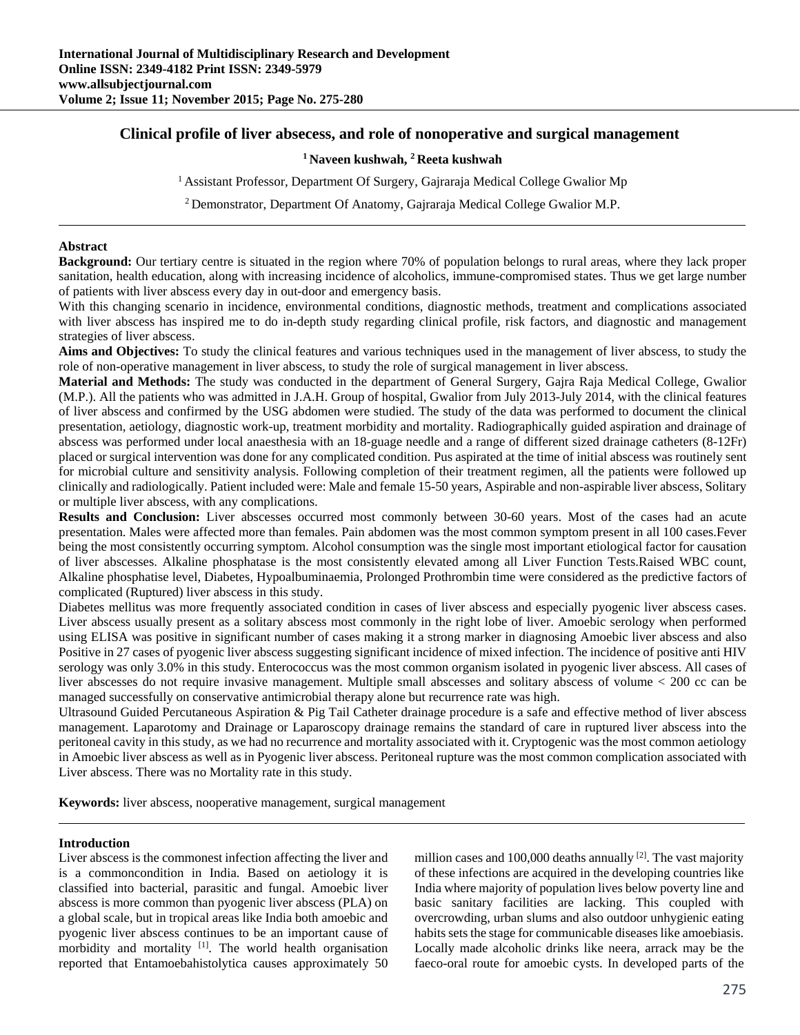# **Clinical profile of liver absecess, and role of nonoperative and surgical management**

# **1 Naveen kushwah, 2 Reeta kushwah**

<sup>1</sup> Assistant Professor, Department Of Surgery, Gajraraja Medical College Gwalior Mp

2 Demonstrator, Department Of Anatomy, Gajraraja Medical College Gwalior M.P.

### **Abstract**

**Background:** Our tertiary centre is situated in the region where 70% of population belongs to rural areas, where they lack proper sanitation, health education, along with increasing incidence of alcoholics, immune-compromised states. Thus we get large number of patients with liver abscess every day in out-door and emergency basis.

With this changing scenario in incidence, environmental conditions, diagnostic methods, treatment and complications associated with liver abscess has inspired me to do in-depth study regarding clinical profile, risk factors, and diagnostic and management strategies of liver abscess.

**Aims and Objectives:** To study the clinical features and various techniques used in the management of liver abscess, to study the role of non-operative management in liver abscess, to study the role of surgical management in liver abscess.

**Material and Methods:** The study was conducted in the department of General Surgery, Gajra Raja Medical College, Gwalior (M.P.). All the patients who was admitted in J.A.H. Group of hospital, Gwalior from July 2013-July 2014, with the clinical features of liver abscess and confirmed by the USG abdomen were studied. The study of the data was performed to document the clinical presentation, aetiology, diagnostic work-up, treatment morbidity and mortality. Radiographically guided aspiration and drainage of abscess was performed under local anaesthesia with an 18-guage needle and a range of different sized drainage catheters (8-12Fr) placed or surgical intervention was done for any complicated condition. Pus aspirated at the time of initial abscess was routinely sent for microbial culture and sensitivity analysis. Following completion of their treatment regimen, all the patients were followed up clinically and radiologically. Patient included were: Male and female 15-50 years, Aspirable and non-aspirable liver abscess, Solitary or multiple liver abscess, with any complications.

**Results and Conclusion:** Liver abscesses occurred most commonly between 30-60 years. Most of the cases had an acute presentation. Males were affected more than females. Pain abdomen was the most common symptom present in all 100 cases.Fever being the most consistently occurring symptom. Alcohol consumption was the single most important etiological factor for causation of liver abscesses. Alkaline phosphatase is the most consistently elevated among all Liver Function Tests.Raised WBC count, Alkaline phosphatise level, Diabetes, Hypoalbuminaemia, Prolonged Prothrombin time were considered as the predictive factors of complicated (Ruptured) liver abscess in this study.

Diabetes mellitus was more frequently associated condition in cases of liver abscess and especially pyogenic liver abscess cases. Liver abscess usually present as a solitary abscess most commonly in the right lobe of liver. Amoebic serology when performed using ELISA was positive in significant number of cases making it a strong marker in diagnosing Amoebic liver abscess and also Positive in 27 cases of pyogenic liver abscess suggesting significant incidence of mixed infection. The incidence of positive anti HIV serology was only 3.0% in this study. Enterococcus was the most common organism isolated in pyogenic liver abscess. All cases of liver abscesses do not require invasive management. Multiple small abscesses and solitary abscess of volume < 200 cc can be managed successfully on conservative antimicrobial therapy alone but recurrence rate was high.

Ultrasound Guided Percutaneous Aspiration & Pig Tail Catheter drainage procedure is a safe and effective method of liver abscess management. Laparotomy and Drainage or Laparoscopy drainage remains the standard of care in ruptured liver abscess into the peritoneal cavity in this study, as we had no recurrence and mortality associated with it. Cryptogenic was the most common aetiology in Amoebic liver abscess as well as in Pyogenic liver abscess. Peritoneal rupture was the most common complication associated with Liver abscess. There was no Mortality rate in this study.

**Keywords:** liver abscess, nooperative management, surgical management

# **Introduction**

Liver abscess is the commonest infection affecting the liver and is a commoncondition in India. Based on aetiology it is classified into bacterial, parasitic and fungal. Amoebic liver abscess is more common than pyogenic liver abscess (PLA) on a global scale, but in tropical areas like India both amoebic and pyogenic liver abscess continues to be an important cause of morbidity and mortality  $[1]$ . The world health organisation reported that Entamoebahistolytica causes approximately 50

million cases and 100,000 deaths annually  $[2]$ . The vast majority of these infections are acquired in the developing countries like India where majority of population lives below poverty line and basic sanitary facilities are lacking. This coupled with overcrowding, urban slums and also outdoor unhygienic eating habits sets the stage for communicable diseases like amoebiasis. Locally made alcoholic drinks like neera, arrack may be the faeco-oral route for amoebic cysts. In developed parts of the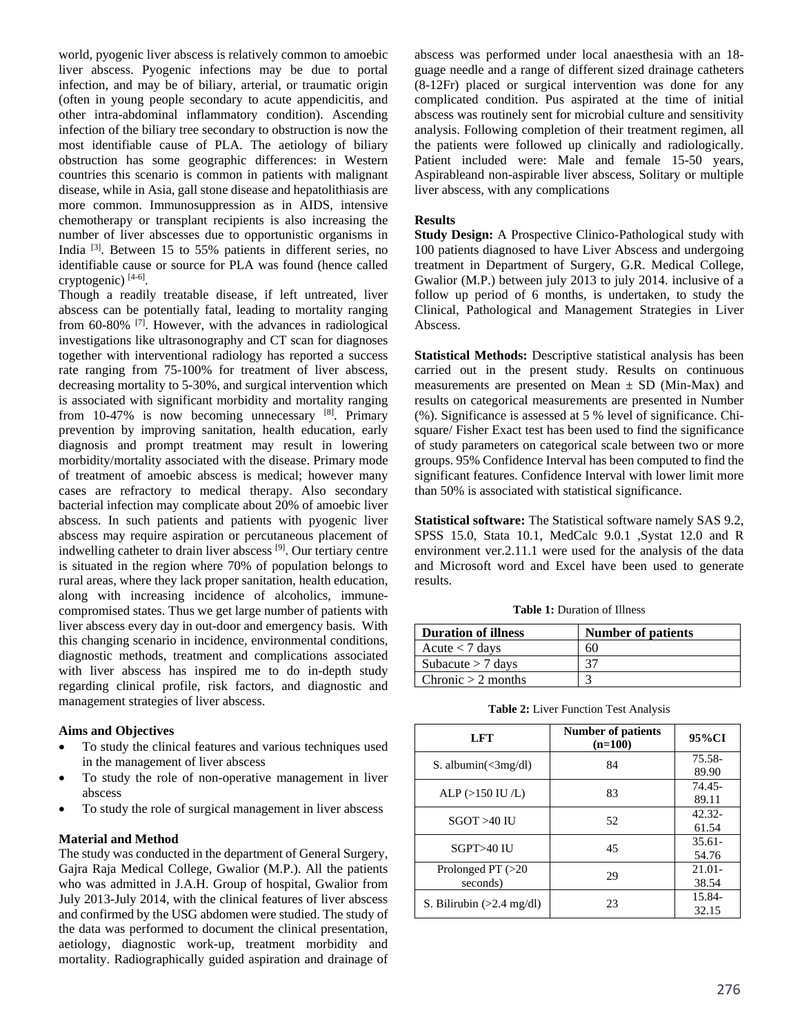world, pyogenic liver abscess is relatively common to amoebic liver abscess. Pyogenic infections may be due to portal infection, and may be of biliary, arterial, or traumatic origin (often in young people secondary to acute appendicitis, and other intra-abdominal inflammatory condition). Ascending infection of the biliary tree secondary to obstruction is now the most identifiable cause of PLA. The aetiology of biliary obstruction has some geographic differences: in Western countries this scenario is common in patients with malignant disease, while in Asia, gall stone disease and hepatolithiasis are more common. Immunosuppression as in AIDS, intensive chemotherapy or transplant recipients is also increasing the number of liver abscesses due to opportunistic organisms in India [3]. Between 15 to 55% patients in different series, no identifiable cause or source for PLA was found (hence called cryptogenic) [4-6].

Though a readily treatable disease, if left untreated, liver abscess can be potentially fatal, leading to mortality ranging from 60-80% [7]. However, with the advances in radiological investigations like ultrasonography and CT scan for diagnoses together with interventional radiology has reported a success rate ranging from 75-100% for treatment of liver abscess, decreasing mortality to 5-30%, and surgical intervention which is associated with significant morbidity and mortality ranging from 10-47% is now becoming unnecessary [8]. Primary prevention by improving sanitation, health education, early diagnosis and prompt treatment may result in lowering morbidity/mortality associated with the disease. Primary mode of treatment of amoebic abscess is medical; however many cases are refractory to medical therapy. Also secondary bacterial infection may complicate about 20% of amoebic liver abscess. In such patients and patients with pyogenic liver abscess may require aspiration or percutaneous placement of indwelling catheter to drain liver abscess [9]. Our tertiary centre is situated in the region where 70% of population belongs to rural areas, where they lack proper sanitation, health education, along with increasing incidence of alcoholics, immunecompromised states. Thus we get large number of patients with liver abscess every day in out-door and emergency basis. With this changing scenario in incidence, environmental conditions, diagnostic methods, treatment and complications associated with liver abscess has inspired me to do in-depth study regarding clinical profile, risk factors, and diagnostic and management strategies of liver abscess.

# **Aims and Objectives**

- To study the clinical features and various techniques used in the management of liver abscess
- To study the role of non-operative management in liver abscess
- To study the role of surgical management in liver abscess

### **Material and Method**

The study was conducted in the department of General Surgery, Gajra Raja Medical College, Gwalior (M.P.). All the patients who was admitted in J.A.H. Group of hospital, Gwalior from July 2013-July 2014, with the clinical features of liver abscess and confirmed by the USG abdomen were studied. The study of the data was performed to document the clinical presentation, aetiology, diagnostic work-up, treatment morbidity and mortality. Radiographically guided aspiration and drainage of

abscess was performed under local anaesthesia with an 18 guage needle and a range of different sized drainage catheters (8-12Fr) placed or surgical intervention was done for any complicated condition. Pus aspirated at the time of initial abscess was routinely sent for microbial culture and sensitivity analysis. Following completion of their treatment regimen, all the patients were followed up clinically and radiologically. Patient included were: Male and female 15-50 years, Aspirableand non-aspirable liver abscess, Solitary or multiple liver abscess, with any complications

#### **Results**

**Study Design:** A Prospective Clinico-Pathological study with 100 patients diagnosed to have Liver Abscess and undergoing treatment in Department of Surgery, G.R. Medical College, Gwalior (M.P.) between july 2013 to july 2014. inclusive of a follow up period of 6 months, is undertaken, to study the Clinical, Pathological and Management Strategies in Liver Abscess.

**Statistical Methods:** Descriptive statistical analysis has been carried out in the present study. Results on continuous measurements are presented on Mean  $\pm$  SD (Min-Max) and results on categorical measurements are presented in Number (%). Significance is assessed at 5 % level of significance. Chisquare/ Fisher Exact test has been used to find the significance of study parameters on categorical scale between two or more groups. 95% Confidence Interval has been computed to find the significant features. Confidence Interval with lower limit more than 50% is associated with statistical significance.

**Statistical software:** The Statistical software namely SAS 9.2, SPSS 15.0, Stata 10.1, MedCalc 9.0.1 ,Systat 12.0 and R environment ver.2.11.1 were used for the analysis of the data and Microsoft word and Excel have been used to generate results.

**Table 1:** Duration of Illness

| <b>Duration of illness</b> | <b>Number of patients</b> |
|----------------------------|---------------------------|
| Acute $<$ 7 days           | 60                        |
| Subacute $> 7$ days        | 37                        |
| Chronic $> 2$ months       |                           |

|  |  |  |  | Table 2: Liver Function Test Analysis |
|--|--|--|--|---------------------------------------|
|--|--|--|--|---------------------------------------|

| <b>LFT</b>                          | <b>Number of patients</b><br>$(n=100)$ | 95%CI              |
|-------------------------------------|----------------------------------------|--------------------|
| S. albumin $\leq 3$ mg/dl)          | 84                                     | 75.58-<br>89.90    |
| ALP $(>150 \text{ IU/L})$           | 83                                     | 74.45-<br>89.11    |
| $SGOT > 40$ IU                      | 52                                     | $42.32 -$<br>61.54 |
| SGPT>40 IU                          | 45                                     | $35.61 -$<br>54.76 |
| Prolonged PT $(>20$<br>seconds)     | 29                                     | $21.01 -$<br>38.54 |
| S. Bilirubin $(>2.4 \text{ mg/dl})$ | 23                                     | 15.84-<br>32.15    |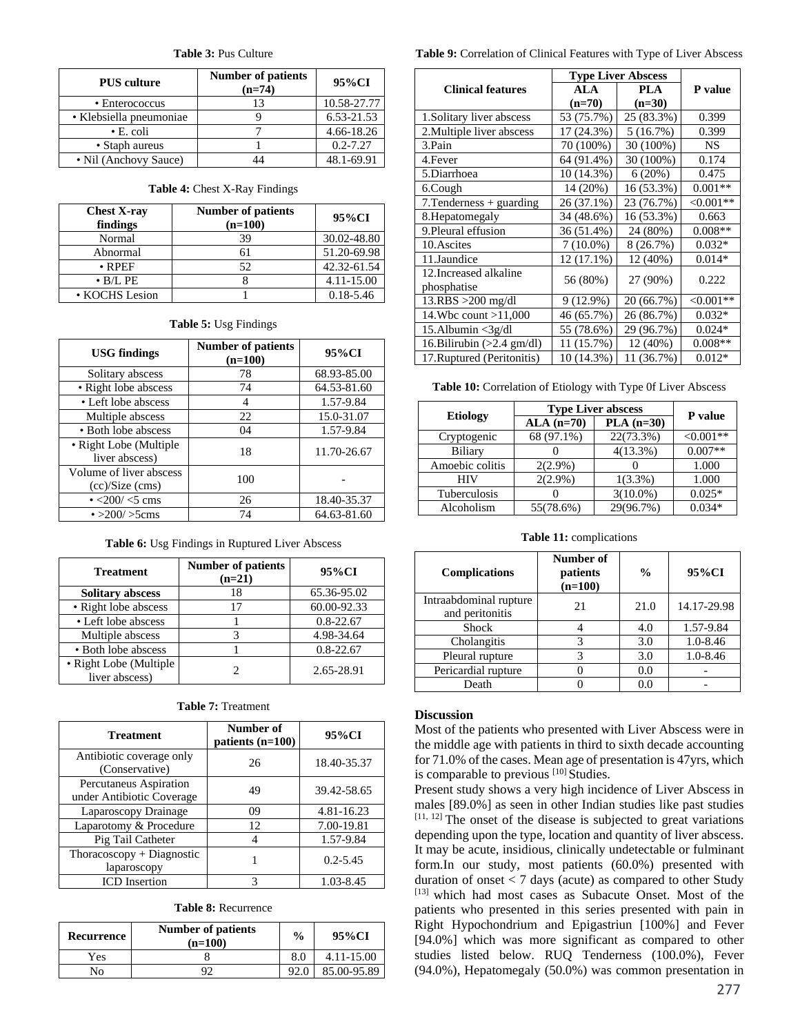#### **Table 3:** Pus Culture

| <b>PUS</b> culture      | <b>Number of patients</b><br>$(n=74)$ | 95%CI        |
|-------------------------|---------------------------------------|--------------|
| • Enterococcus          | 13                                    | 10.58-27.77  |
| • Klebsiella pneumoniae |                                       | 6.53-21.53   |
| $\bullet$ E. coli       |                                       | 4.66-18.26   |
| • Staph aureus          |                                       | $0.2 - 7.27$ |
| • Nil (Anchovy Sauce)   |                                       | 48.1-69.91   |

#### **Table 4:** Chest X-Ray Findings

| <b>Chest X-ray</b><br>findings | <b>Number of patients</b><br>$(n=100)$ | 95%CI         |
|--------------------------------|----------------------------------------|---------------|
| Normal                         | 39                                     | 30.02-48.80   |
| Abnormal                       | 61                                     | 51.20-69.98   |
| $\bullet$ RPEF                 | 52.                                    | 42.32-61.54   |
| $\bullet$ B/L PE               |                                        | 4.11-15.00    |
| • KOCHS Lesion                 |                                        | $0.18 - 5.46$ |

# **Table 5:** Usg Findings

| <b>USG</b> findings                          | <b>Number of patients</b><br>$(n=100)$ | 95%CI       |
|----------------------------------------------|----------------------------------------|-------------|
| Solitary abscess                             | 78                                     | 68.93-85.00 |
| • Right lobe abscess                         | 74                                     | 64.53-81.60 |
| • Left lobe abscess                          | 4                                      | 1.57-9.84   |
| Multiple abscess                             | 22                                     | 15.0-31.07  |
| • Both lobe abscess                          | 04                                     | 1.57-9.84   |
| • Right Lobe (Multiple<br>liver abscess)     | 18                                     | 11.70-26.67 |
| Volume of liver abscess<br>$(cc)/Size$ (cms) | 100                                    |             |
| $\cdot$ <200/ <5 cms                         | 26                                     | 18.40-35.37 |
| • $>200/$ >5cms                              | 74                                     | 64.63-81.60 |

**Table 6:** Usg Findings in Ruptured Liver Abscess

| <b>Treatment</b>                         | <b>Number of patients</b><br>$(n=21)$ | 95%CI         |
|------------------------------------------|---------------------------------------|---------------|
| <b>Solitary abscess</b>                  | 18                                    | 65.36-95.02   |
| • Right lobe abscess                     | 17                                    | 60.00-92.33   |
| • Left lobe abscess                      |                                       | $0.8 - 22.67$ |
| Multiple abscess                         | 3                                     | 4.98-34.64    |
| • Both lobe abscess                      |                                       | $0.8 - 22.67$ |
| • Right Lobe (Multiple<br>liver abscess) |                                       | 2.65-28.91    |

| <b>Treatment</b>                                    | Number of<br>patients $(n=100)$ | 95%CI        |
|-----------------------------------------------------|---------------------------------|--------------|
| Antibiotic coverage only<br>(Conservative)          | 26                              | 18.40-35.37  |
| Percutaneus Aspiration<br>under Antibiotic Coverage | 49                              | 39.42-58.65  |
| Laparoscopy Drainage                                | 09                              | 4.81-16.23   |
| Laparotomy & Procedure                              | 12                              | 7.00-19.81   |
| Pig Tail Catheter                                   |                                 | 1.57-9.84    |
| Thoracoscopy + Diagnostic<br>laparoscopy            |                                 | $0.2 - 5.45$ |
| <b>ICD</b> Insertion                                |                                 | 1.03-8.45    |

| Recurrence | <b>Number of patients</b><br>$(n=100)$ | $\frac{0}{0}$ | 95%CI          |
|------------|----------------------------------------|---------------|----------------|
| Yes        |                                        | 8.0           | $4.11 - 15.00$ |
| No         |                                        |               | 85.00-95.89    |

# **Table 9:** Correlation of Clinical Features with Type of Liver Abscess

|                                      | <b>Type Liver Abscess</b> |            |                |
|--------------------------------------|---------------------------|------------|----------------|
| <b>Clinical features</b>             | AIA                       | <b>PLA</b> | <b>P</b> value |
|                                      | $(n=70)$                  | $(n=30)$   |                |
| 1. Solitary liver abscess            | 53 (75.7%)                | 25 (83.3%) | 0.399          |
| 2. Multiple liver abscess            | 17 (24.3%)                | 5(16.7%)   | 0.399          |
| 3.Pain                               | 70 (100%)                 | 30 (100%)  | <b>NS</b>      |
| 4. Fever                             | 64 (91.4%)                | 30 (100%)  | 0.174          |
| 5.Diarrhoea                          | 10 (14.3%)                | 6(20%)     | 0.475          |
| 6.Cough                              | 14 (20%)                  | 16 (53.3%) | $0.001**$      |
| $7. Tenderness + guarding$           | 26 (37.1%)                | 23 (76.7%) | $<0.001**$     |
| 8. Hepatomegaly                      | 34 (48.6%)                | 16 (53.3%) | 0.663          |
| 9. Pleural effusion                  | 36 (51.4%)                | 24 (80%)   | $0.008**$      |
| 10. Ascites                          | $7(10.0\%)$               | 8(26.7%)   | $0.032*$       |
| 11.Jaundice                          | 12 (17.1%)                | 12 (40%)   | $0.014*$       |
| 12. Increased alkaline               | 56 (80%)                  | 27 (90%)   | 0.222          |
| phosphatise                          |                           |            |                |
| $13.RBS > 200$ mg/dl                 | 9 (12.9%)                 | 20 (66.7%) | $< 0.001**$    |
| 14. Whe count $>11,000$              | 46 (65.7%)                | 26 (86.7%) | $0.032*$       |
| 15.Albumin $\langle 3g/dl$           | 55 (78.6%)                | 29 (96.7%) | $0.024*$       |
| 16. Bilirubin $(>2.4 \text{ gm/dl})$ | 11 (15.7%)                | 12 (40%)   | $0.008**$      |
| 17. Ruptured (Peritonitis)           | 10 (14.3%)                | 11 (36.7%) | $0.012*$       |

**Table 10:** Correlation of Etiology with Type 0f Liver Abscess

| <b>Etiology</b> | <b>Type Liver abscess</b> |             |            |
|-----------------|---------------------------|-------------|------------|
|                 | $ALA$ (n=70)              | $PLA(n=30)$ | P value    |
| Cryptogenic     | 68 (97.1%)                | 22(73.3%)   | $<0.001**$ |
| Biliary         |                           | $4(13.3\%)$ | $0.007**$  |
| Amoebic colitis | $2(2.9\%)$                |             | 1.000      |
| <b>HIV</b>      | $2(2.9\%)$                | $1(3.3\%)$  | 1.000      |
| Tuberculosis    |                           | $3(10.0\%)$ | $0.025*$   |
| Alcoholism      | 55(78.6%)                 | 29(96.7%)   | $0.034*$   |

**Table 11:** complications

| <b>Complications</b>                      | Number of<br>patients<br>$(n=100)$ | $\frac{0}{0}$ | 95%CI        |
|-------------------------------------------|------------------------------------|---------------|--------------|
| Intraabdominal rupture<br>and peritonitis | 21                                 | 21.0          | 14.17-29.98  |
| <b>Shock</b>                              |                                    | 4.0           | 1.57-9.84    |
| Cholangitis                               |                                    | 3.0           | $1.0 - 8.46$ |
| Pleural rupture                           |                                    | 3.0           | $1.0 - 8.46$ |
| Pericardial rupture                       |                                    | 0.0           |              |
| Death                                     |                                    | 0.0           |              |

# **Discussion**

Most of the patients who presented with Liver Abscess were in the middle age with patients in third to sixth decade accounting for 71.0% of the cases. Mean age of presentation is 47yrs, which is comparable to previous [10] Studies.

Present study shows a very high incidence of Liver Abscess in males [89.0%] as seen in other Indian studies like past studies  $[11, 12]$  The onset of the disease is subjected to great variations depending upon the type, location and quantity of liver abscess. It may be acute, insidious, clinically undetectable or fulminant form.In our study, most patients (60.0%) presented with duration of onset  $< 7$  days (acute) as compared to other Study [13] which had most cases as Subacute Onset. Most of the patients who presented in this series presented with pain in Right Hypochondrium and Epigastriun [100%] and Fever [94.0%] which was more significant as compared to other studies listed below. RUQ Tenderness (100.0%), Fever (94.0%), Hepatomegaly (50.0%) was common presentation in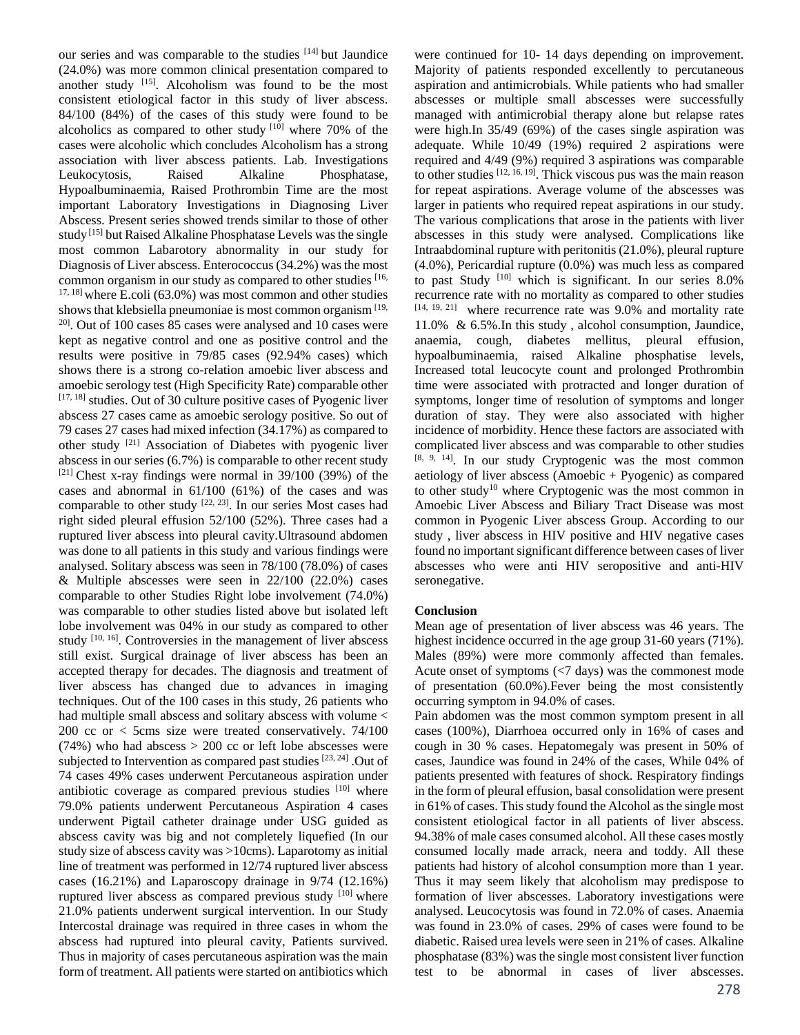our series and was comparable to the studies [14] but Jaundice (24.0%) was more common clinical presentation compared to another study [15]. Alcoholism was found to be the most consistent etiological factor in this study of liver abscess. 84/100 (84%) of the cases of this study were found to be alcoholics as compared to other study  $[10]$  where 70% of the cases were alcoholic which concludes Alcoholism has a strong association with liver abscess patients. Lab. Investigations Leukocytosis, Raised Alkaline Phosphatase, Hypoalbuminaemia, Raised Prothrombin Time are the most important Laboratory Investigations in Diagnosing Liver Abscess. Present series showed trends similar to those of other study [15] but Raised Alkaline Phosphatase Levels was the single most common Labarotory abnormality in our study for Diagnosis of Liver abscess. Enterococcus (34.2%) was the most common organism in our study as compared to other studies [16, 17, 18] where E.coli (63.0%) was most common and other studies shows that klebsiella pneumoniae is most common organism<sup>[19,</sup>]  $20$ . Out of 100 cases 85 cases were analysed and 10 cases were kept as negative control and one as positive control and the results were positive in 79/85 cases (92.94% cases) which shows there is a strong co-relation amoebic liver abscess and amoebic serology test (High Specificity Rate) comparable other  $[17, 18]$  studies. Out of 30 culture positive cases of Pyogenic liver abscess 27 cases came as amoebic serology positive. So out of 79 cases 27 cases had mixed infection (34.17%) as compared to other study [21] Association of Diabetes with pyogenic liver abscess in our series (6.7%) is comparable to other recent study  $[21]$  Chest x-ray findings were normal in 39/100 (39%) of the cases and abnormal in 61/100 (61%) of the cases and was comparable to other study  $[22, 23]$ . In our series Most cases had right sided pleural effusion 52/100 (52%). Three cases had a ruptured liver abscess into pleural cavity.Ultrasound abdomen was done to all patients in this study and various findings were analysed. Solitary abscess was seen in 78/100 (78.0%) of cases & Multiple abscesses were seen in 22/100 (22.0%) cases comparable to other Studies Right lobe involvement (74.0%) was comparable to other studies listed above but isolated left lobe involvement was 04% in our study as compared to other study [10, 16]. Controversies in the management of liver abscess still exist. Surgical drainage of liver abscess has been an accepted therapy for decades. The diagnosis and treatment of liver abscess has changed due to advances in imaging techniques. Out of the 100 cases in this study, 26 patients who had multiple small abscess and solitary abscess with volume < 200 cc or < 5cms size were treated conservatively. 74/100  $(74%)$  who had abscess  $> 200$  cc or left lobe abscesses were subjected to Intervention as compared past studies [23, 24]. Out of 74 cases 49% cases underwent Percutaneous aspiration under antibiotic coverage as compared previous studies [10] where 79.0% patients underwent Percutaneous Aspiration 4 cases underwent Pigtail catheter drainage under USG guided as abscess cavity was big and not completely liquefied (In our study size of abscess cavity was >10cms). Laparotomy as initial line of treatment was performed in 12/74 ruptured liver abscess cases (16.21%) and Laparoscopy drainage in 9/74 (12.16%) ruptured liver abscess as compared previous study  $[10]$  where 21.0% patients underwent surgical intervention. In our Study Intercostal drainage was required in three cases in whom the abscess had ruptured into pleural cavity, Patients survived. Thus in majority of cases percutaneous aspiration was the main form of treatment. All patients were started on antibiotics which

were continued for 10- 14 days depending on improvement. Majority of patients responded excellently to percutaneous aspiration and antimicrobials. While patients who had smaller abscesses or multiple small abscesses were successfully managed with antimicrobial therapy alone but relapse rates were high.In 35/49 (69%) of the cases single aspiration was adequate. While 10/49 (19%) required 2 aspirations were required and 4/49 (9%) required 3 aspirations was comparable to other studies  $[12, 16, 19]$ . Thick viscous pus was the main reason for repeat aspirations. Average volume of the abscesses was larger in patients who required repeat aspirations in our study. The various complications that arose in the patients with liver abscesses in this study were analysed. Complications like Intraabdominal rupture with peritonitis (21.0%), pleural rupture (4.0%), Pericardial rupture (0.0%) was much less as compared to past Study [10] which is significant. In our series 8.0% recurrence rate with no mortality as compared to other studies [14, 19, 21] where recurrence rate was 9.0% and mortality rate 11.0% & 6.5%.In this study , alcohol consumption, Jaundice, anaemia, cough, diabetes mellitus, pleural effusion, hypoalbuminaemia, raised Alkaline phosphatise levels, Increased total leucocyte count and prolonged Prothrombin time were associated with protracted and longer duration of symptoms, longer time of resolution of symptoms and longer duration of stay. They were also associated with higher incidence of morbidity. Hence these factors are associated with complicated liver abscess and was comparable to other studies [8, 9, 14]. In our study Cryptogenic was the most common aetiology of liver abscess (Amoebic + Pyogenic) as compared to other study<sup>10</sup> where Cryptogenic was the most common in Amoebic Liver Abscess and Biliary Tract Disease was most common in Pyogenic Liver abscess Group. According to our study , liver abscess in HIV positive and HIV negative cases found no important significant difference between cases of liver abscesses who were anti HIV seropositive and anti-HIV seronegative.

# **Conclusion**

Mean age of presentation of liver abscess was 46 years. The highest incidence occurred in the age group 31-60 years (71%). Males (89%) were more commonly affected than females. Acute onset of symptoms (<7 days) was the commonest mode of presentation (60.0%).Fever being the most consistently occurring symptom in 94.0% of cases.

Pain abdomen was the most common symptom present in all cases (100%), Diarrhoea occurred only in 16% of cases and cough in 30 % cases. Hepatomegaly was present in 50% of cases, Jaundice was found in 24% of the cases, While 04% of patients presented with features of shock. Respiratory findings in the form of pleural effusion, basal consolidation were present in 61% of cases. This study found the Alcohol as the single most consistent etiological factor in all patients of liver abscess. 94.38% of male cases consumed alcohol. All these cases mostly consumed locally made arrack, neera and toddy. All these patients had history of alcohol consumption more than 1 year. Thus it may seem likely that alcoholism may predispose to formation of liver abscesses. Laboratory investigations were analysed. Leucocytosis was found in 72.0% of cases. Anaemia was found in 23.0% of cases. 29% of cases were found to be diabetic. Raised urea levels were seen in 21% of cases. Alkaline phosphatase (83%) was the single most consistent liver function test to be abnormal in cases of liver abscesses.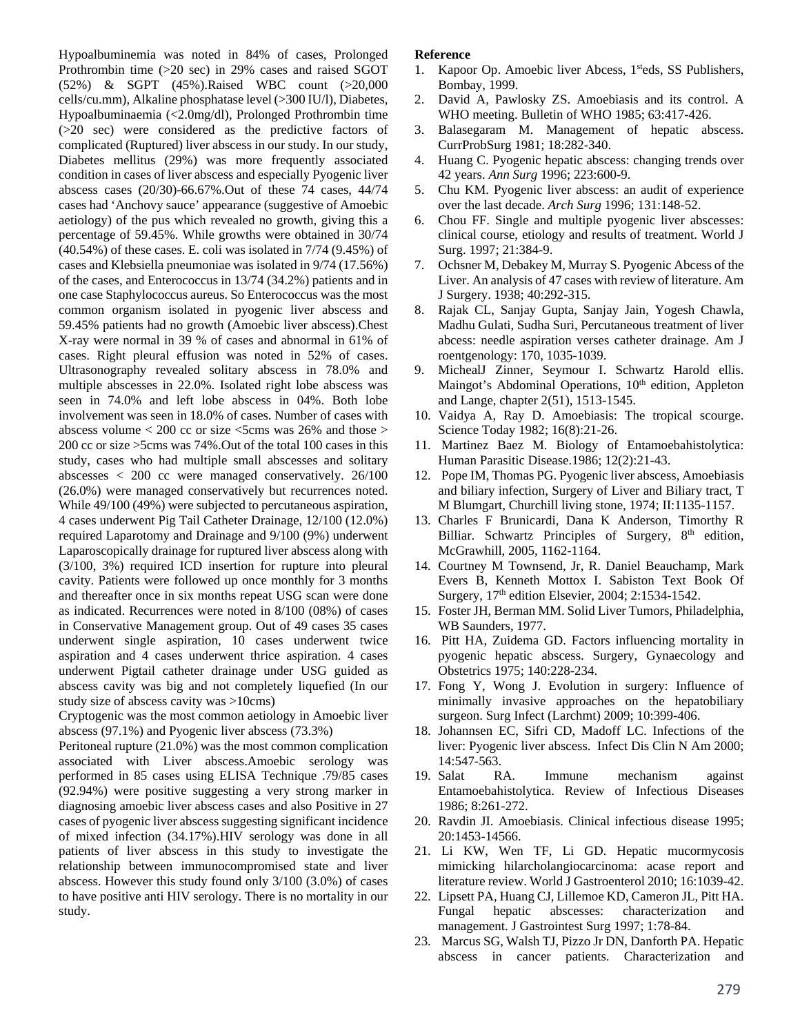Hypoalbuminemia was noted in 84% of cases, Prolonged Prothrombin time (>20 sec) in 29% cases and raised SGOT (52%) & SGPT (45%).Raised WBC count (>20,000 cells/cu.mm), Alkaline phosphatase level (>300 IU/l), Diabetes, Hypoalbuminaemia (<2.0mg/dl), Prolonged Prothrombin time (>20 sec) were considered as the predictive factors of complicated (Ruptured) liver abscess in our study. In our study, Diabetes mellitus (29%) was more frequently associated condition in cases of liver abscess and especially Pyogenic liver abscess cases (20/30)-66.67%.Out of these 74 cases, 44/74 cases had 'Anchovy sauce' appearance (suggestive of Amoebic aetiology) of the pus which revealed no growth, giving this a percentage of 59.45%. While growths were obtained in 30/74 (40.54%) of these cases. E. coli was isolated in 7/74 (9.45%) of cases and Klebsiella pneumoniae was isolated in 9/74 (17.56%) of the cases, and Enterococcus in 13/74 (34.2%) patients and in one case Staphylococcus aureus. So Enterococcus was the most common organism isolated in pyogenic liver abscess and 59.45% patients had no growth (Amoebic liver abscess).Chest X-ray were normal in 39 % of cases and abnormal in 61% of cases. Right pleural effusion was noted in 52% of cases. Ultrasonography revealed solitary abscess in 78.0% and multiple abscesses in 22.0%. Isolated right lobe abscess was seen in 74.0% and left lobe abscess in 04%. Both lobe involvement was seen in 18.0% of cases. Number of cases with abscess volume  $< 200$  cc or size  $< 5$ cms was 26% and those  $>$ 200 cc or size >5cms was 74%.Out of the total 100 cases in this study, cases who had multiple small abscesses and solitary abscesses < 200 cc were managed conservatively. 26/100 (26.0%) were managed conservatively but recurrences noted. While 49/100 (49%) were subjected to percutaneous aspiration, 4 cases underwent Pig Tail Catheter Drainage, 12/100 (12.0%) required Laparotomy and Drainage and 9/100 (9%) underwent Laparoscopically drainage for ruptured liver abscess along with (3/100, 3%) required ICD insertion for rupture into pleural cavity. Patients were followed up once monthly for 3 months and thereafter once in six months repeat USG scan were done as indicated. Recurrences were noted in 8/100 (08%) of cases in Conservative Management group. Out of 49 cases 35 cases underwent single aspiration, 10 cases underwent twice aspiration and 4 cases underwent thrice aspiration. 4 cases underwent Pigtail catheter drainage under USG guided as abscess cavity was big and not completely liquefied (In our study size of abscess cavity was >10cms)

Cryptogenic was the most common aetiology in Amoebic liver abscess (97.1%) and Pyogenic liver abscess (73.3%)

Peritoneal rupture (21.0%) was the most common complication associated with Liver abscess.Amoebic serology was performed in 85 cases using ELISA Technique .79/85 cases (92.94%) were positive suggesting a very strong marker in diagnosing amoebic liver abscess cases and also Positive in 27 cases of pyogenic liver abscess suggesting significant incidence of mixed infection (34.17%).HIV serology was done in all patients of liver abscess in this study to investigate the relationship between immunocompromised state and liver abscess. However this study found only 3/100 (3.0%) of cases to have positive anti HIV serology. There is no mortality in our study.

# **Reference**

- 1. Kapoor Op. Amoebic liver Abcess, 1<sup>st</sup>eds, SS Publishers, Bombay, 1999.
- 2. David A, Pawlosky ZS. Amoebiasis and its control. A WHO meeting. Bulletin of WHO 1985; 63:417-426.
- 3. Balasegaram M. Management of hepatic abscess. CurrProbSurg 1981; 18:282-340.
- 4. Huang C. Pyogenic hepatic abscess: changing trends over 42 years. *Ann Surg* 1996; 223:600-9.
- 5. Chu KM. Pyogenic liver abscess: an audit of experience over the last decade. *Arch Surg* 1996; 131:148-52.
- 6. Chou FF. Single and multiple pyogenic liver abscesses: clinical course, etiology and results of treatment. World J Surg. 1997; 21:384-9.
- 7. Ochsner M, Debakey M, Murray S. Pyogenic Abcess of the Liver. An analysis of 47 cases with review of literature. Am J Surgery. 1938; 40:292-315.
- 8. Rajak CL, Sanjay Gupta, Sanjay Jain, Yogesh Chawla, Madhu Gulati, Sudha Suri, Percutaneous treatment of liver abcess: needle aspiration verses catheter drainage. Am J roentgenology: 170, 1035-1039.
- 9. MichealJ Zinner, Seymour I. Schwartz Harold ellis. Maingot's Abdominal Operations, 10<sup>th</sup> edition, Appleton and Lange, chapter 2(51), 1513-1545.
- 10. Vaidya A, Ray D. Amoebiasis: The tropical scourge. Science Today 1982; 16(8):21-26.
- 11. Martinez Baez M. Biology of Entamoebahistolytica: Human Parasitic Disease.1986; 12(2):21-43.
- 12. Pope IM, Thomas PG. Pyogenic liver abscess, Amoebiasis and biliary infection, Surgery of Liver and Biliary tract*,* T M Blumgart, Churchill living stone, 1974; II:1135-1157.
- 13. Charles F Brunicardi, Dana K Anderson, Timorthy R Billiar. Schwartz Principles of Surgery, 8<sup>th</sup> edition, McGrawhill, 2005, 1162-1164.
- 14. Courtney M Townsend, Jr, R. Daniel Beauchamp, Mark Evers B, Kenneth Mottox I. Sabiston Text Book Of Surgery, 17th edition Elsevier, 2004; 2:1534-1542.
- 15. Foster JH, Berman MM. Solid Liver Tumors, Philadelphia, WB Saunders, 1977.
- 16. Pitt HA, Zuidema GD. Factors influencing mortality in pyogenic hepatic abscess. Surgery, Gynaecology and Obstetrics 1975; 140:228-234.
- 17. Fong Y, Wong J. Evolution in surgery: Influence of minimally invasive approaches on the hepatobiliary surgeon. Surg Infect (Larchmt) 2009; 10:399-406.
- 18. Johannsen EC, Sifri CD, Madoff LC. Infections of the liver: Pyogenic liver abscess. Infect Dis Clin N Am 2000; 14:547-563.
- 19. Salat RA. Immune mechanism against Entamoebahistolytica. Review of Infectious Diseases 1986; 8:261-272.
- 20. Ravdin JI. Amoebiasis. Clinical infectious disease 1995; 20:1453-14566.
- 21. Li KW, Wen TF, Li GD. Hepatic mucormycosis mimicking hilarcholangiocarcinoma: acase report and literature review. World J Gastroenterol 2010; 16:1039-42.
- 22. Lipsett PA, Huang CJ, Lillemoe KD, Cameron JL, Pitt HA. Fungal hepatic abscesses: characterization and management. J Gastrointest Surg 1997; 1:78-84.
- 23. Marcus SG, Walsh TJ, Pizzo Jr DN, Danforth PA. Hepatic abscess in cancer patients. Characterization and